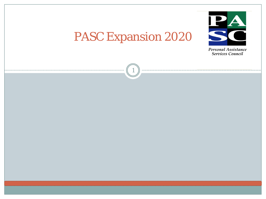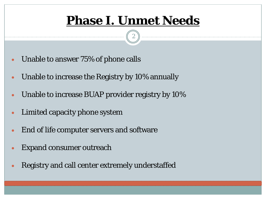### **Phase I. Unmet Needs**

2

- Unable to answer 75% of phone calls
- Unable to increase the Registry by 10% annually
- Unable to increase BUAP provider registry by 10%
- Limited capacity phone system
- End of life computer servers and software
- Expand consumer outreach
- Registry and call center extremely understaffed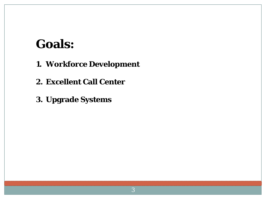### **Goals:**

- **1. Workforce Development**
- **2. Excellent Call Center**
- **3. Upgrade Systems**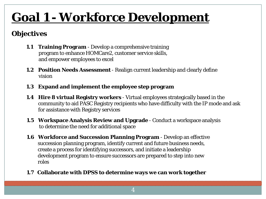# **Goal 1 - Workforce Development**

#### **Objectives**

- **1.1 Training Program**  Develop a comprehensive training program to enhance HOMCare2, customer service skills, and empower employees to excel
- **1.2 Position Needs Assessment** Realign current leadership and clearly define vision
- **1.3 Expand and implement the employee step program**
- **1.4 Hire 8 virtual Registry workers** Virtual employees strategically based in the community to aid PASC Registry recipients who have difficulty with the IP mode and ask for assistance with Registry services
- **1.5 Workspace Analysis Review and Upgrade** Conduct a workspace analysis to determine the need for additional space
- **1.6 Workforce and Succession Planning Program**  Develop an effective succession planning program, identify current and future business needs, create a process for identifying successors, and initiate a leadership development program to ensure successors are prepared to step into new roles
- **1.7 Collaborate with DPSS to determine ways we can work together**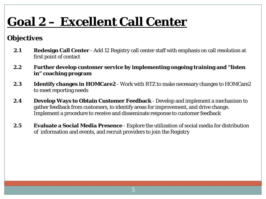# **Goal 2 – Excellent Call Center**

#### **Objectives**

- **2.1 Redesign Call Center**  Add 12 Registry call center staff with emphasis on call resolution at first point of contact
- **2.2 Further develop customer service by implementing ongoing training and "listen in" coaching program**
- **2.3 Identify changes in HOMCare2**  Work with RTZ to make necessary changes to HOMCare2 to meet reporting needs
- **2.4 Develop Ways to Obtain Customer Feedback** Develop and implement a mechanism to gather feedback from customers, to identify areas for improvement, and drive change. Implement a procedure to receive and disseminate response to customer feedback
- **2.5 Evaluate a Social Media Presence** Explore the utilization of social media for distribution of information and events, and recruit providers to join the Registry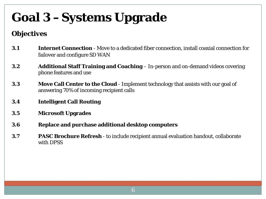# **Goal 3 –Systems Upgrade**

#### **Objectives**

- **3.1 Internet Connection**  Move to a dedicated fiber connection, install coaxial connection for failover and configure SD WAN
- **3.2 Additional Staff Training and Coaching**  In-person and on-demand videos covering phone features and use
- **3.3 Move Call Center to the Cloud**  Implement technology that assists with our goal of answering 70% of incoming recipient calls
- **3.4 Intelligent Call Routing**
- **3.5 Microsoft Upgrades**
- **3.6 Replace and purchase additional desktop computers**
- **3.7 PASC Brochure Refresh**  to include recipient annual evaluation handout, collaborate with DPSS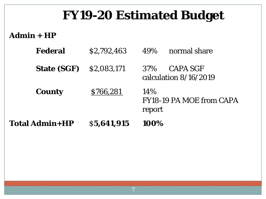## **FY19-20 Estimated Budget**

#### **Admin + HP**

| <b>Total Admin+HP</b> | \$5,641,915 | 100%                                              |  |
|-----------------------|-------------|---------------------------------------------------|--|
| <b>County</b>         | \$766,281   | $14\%$<br>FY18-19 PA MOE from CAPA<br>report      |  |
| <b>State (SGF)</b>    | \$2,083,171 | <b>CAPA SGF</b><br>37%<br>calculation $8/16/2019$ |  |
| <b>Federal</b>        | \$2,792,463 | normal share<br>49%                               |  |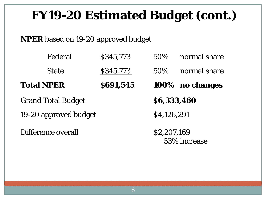## **FY19-20 Estimated Budget (cont.)**

#### **NPER** based on 19-20 approved budget

|                           | Federal      | \$345,773 | 50%                         | normal share    |  |
|---------------------------|--------------|-----------|-----------------------------|-----------------|--|
|                           | <b>State</b> | \$345,773 | 50%                         | normal share    |  |
| <b>Total NPER</b>         |              | \$691,545 |                             | 100% no changes |  |
| <b>Grand Total Budget</b> |              |           | \$6,333,460                 |                 |  |
| 19-20 approved budget     |              |           | \$4,126,291                 |                 |  |
| Difference overall        |              |           | \$2,207,169<br>53% increase |                 |  |